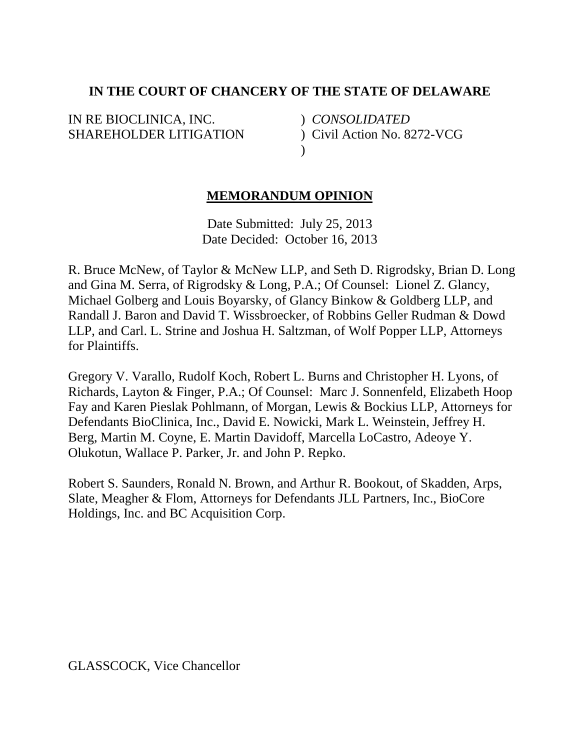# **IN THE COURT OF CHANCERY OF THE STATE OF DELAWARE**

IN RE BIOCLINICA, INC. SHAREHOLDER LITIGATION

) *CONSOLIDATED*  ) Civil Action No. 8272-VCG  $\lambda$ 

# **MEMORANDUM OPINION**

Date Submitted: July 25, 2013 Date Decided: October 16, 2013

R. Bruce McNew, of Taylor & McNew LLP, and Seth D. Rigrodsky, Brian D. Long and Gina M. Serra, of Rigrodsky & Long, P.A.; Of Counsel: Lionel Z. Glancy, Michael Golberg and Louis Boyarsky, of Glancy Binkow & Goldberg LLP, and Randall J. Baron and David T. Wissbroecker, of Robbins Geller Rudman & Dowd LLP, and Carl. L. Strine and Joshua H. Saltzman, of Wolf Popper LLP, Attorneys for Plaintiffs.

Gregory V. Varallo, Rudolf Koch, Robert L. Burns and Christopher H. Lyons, of Richards, Layton & Finger, P.A.; Of Counsel: Marc J. Sonnenfeld, Elizabeth Hoop Fay and Karen Pieslak Pohlmann, of Morgan, Lewis & Bockius LLP, Attorneys for Defendants BioClinica, Inc., David E. Nowicki, Mark L. Weinstein, Jeffrey H. Berg, Martin M. Coyne, E. Martin Davidoff, Marcella LoCastro, Adeoye Y. Olukotun, Wallace P. Parker, Jr. and John P. Repko.

Robert S. Saunders, Ronald N. Brown, and Arthur R. Bookout, of Skadden, Arps, Slate, Meagher & Flom, Attorneys for Defendants JLL Partners, Inc., BioCore Holdings, Inc. and BC Acquisition Corp.

GLASSCOCK, Vice Chancellor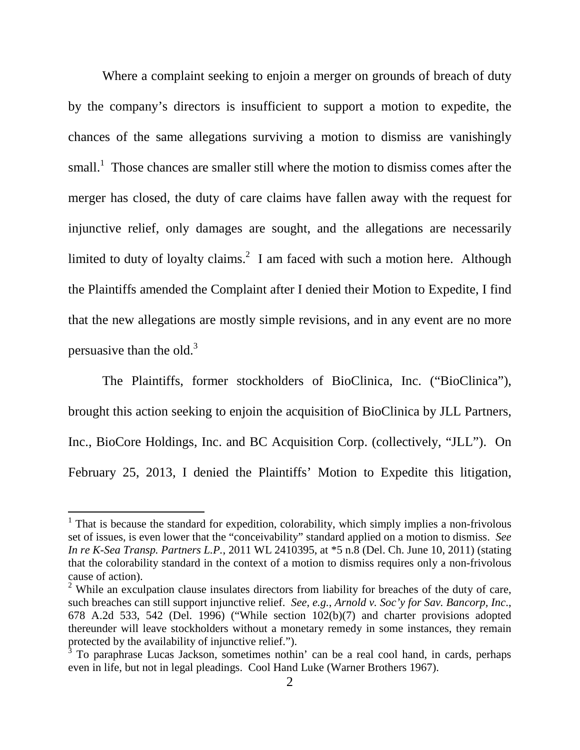Where a complaint seeking to enjoin a merger on grounds of breach of duty by the company's directors is insufficient to support a motion to expedite, the chances of the same allegations surviving a motion to dismiss are vanishingly small.<sup>1</sup> Those chances are smaller still where the motion to dismiss comes after the merger has closed, the duty of care claims have fallen away with the request for injunctive relief, only damages are sought, and the allegations are necessarily limited to duty of loyalty claims.<sup>2</sup> I am faced with such a motion here. Although the Plaintiffs amended the Complaint after I denied their Motion to Expedite, I find that the new allegations are mostly simple revisions, and in any event are no more persuasive than the old. $3$ 

The Plaintiffs, former stockholders of BioClinica, Inc. ("BioClinica"), brought this action seeking to enjoin the acquisition of BioClinica by JLL Partners, Inc., BioCore Holdings, Inc. and BC Acquisition Corp. (collectively, "JLL"). On February 25, 2013, I denied the Plaintiffs' Motion to Expedite this litigation,

<sup>&</sup>lt;sup>1</sup> That is because the standard for expedition, colorability, which simply implies a non-frivolous set of issues, is even lower that the "conceivability" standard applied on a motion to dismiss. *See In re K-Sea Transp. Partners L.P.*, 2011 WL 2410395, at \*5 n.8 (Del. Ch. June 10, 2011) (stating that the colorability standard in the context of a motion to dismiss requires only a non-frivolous cause of action).

 $2$  While an exculpation clause insulates directors from liability for breaches of the duty of care, such breaches can still support injunctive relief. *See, e.g.*, *Arnold v. Soc'y for Sav. Bancorp, Inc*., 678 A.2d 533, 542 (Del. 1996) ("While section 102(b)(7) and charter provisions adopted thereunder will leave stockholders without a monetary remedy in some instances, they remain protected by the availability of injunctive relief.").

<sup>&</sup>lt;sup>3</sup> To paraphrase Lucas Jackson, sometimes nothin' can be a real cool hand, in cards, perhaps even in life, but not in legal pleadings. Cool Hand Luke (Warner Brothers 1967).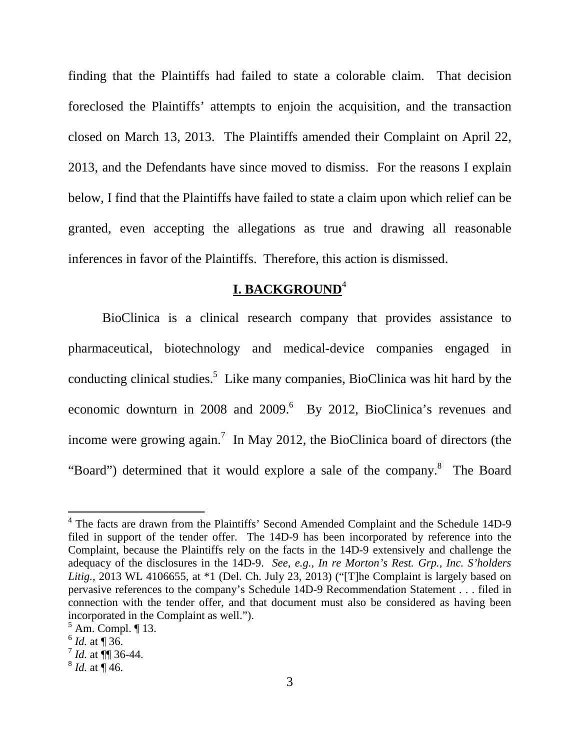finding that the Plaintiffs had failed to state a colorable claim. That decision foreclosed the Plaintiffs' attempts to enjoin the acquisition, and the transaction closed on March 13, 2013. The Plaintiffs amended their Complaint on April 22, 2013, and the Defendants have since moved to dismiss. For the reasons I explain below, I find that the Plaintiffs have failed to state a claim upon which relief can be granted, even accepting the allegations as true and drawing all reasonable inferences in favor of the Plaintiffs. Therefore, this action is dismissed.

# **I. BACKGROUND**<sup>4</sup>

BioClinica is a clinical research company that provides assistance to pharmaceutical, biotechnology and medical-device companies engaged in conducting clinical studies.<sup>5</sup> Like many companies, BioClinica was hit hard by the economic downturn in 2008 and 2009.<sup>6</sup> By 2012, BioClinica's revenues and income were growing again.<sup>7</sup> In May 2012, the BioClinica board of directors (the "Board") determined that it would explore a sale of the company.<sup>8</sup> The Board

<sup>&</sup>lt;sup>4</sup> The facts are drawn from the Plaintiffs' Second Amended Complaint and the Schedule 14D-9 filed in support of the tender offer. The 14D-9 has been incorporated by reference into the Complaint, because the Plaintiffs rely on the facts in the 14D-9 extensively and challenge the adequacy of the disclosures in the 14D-9. *See, e.g.*, *In re Morton's Rest. Grp., Inc. S'holders Litig.*, 2013 WL 4106655, at \*1 (Del. Ch. July 23, 2013) ("[T]he Complaint is largely based on pervasive references to the company's Schedule 14D-9 Recommendation Statement . . . filed in connection with the tender offer, and that document must also be considered as having been incorporated in the Complaint as well.").

 $<sup>5</sup>$  Am. Compl. ¶ 13.</sup>

 $^6$  *Id.* at  $\P$  36.

 $^{7}$  *Id.* at  $\P\P$  36-44.

 $^{8}$  *Id.* at  $\sqrt{46}$ .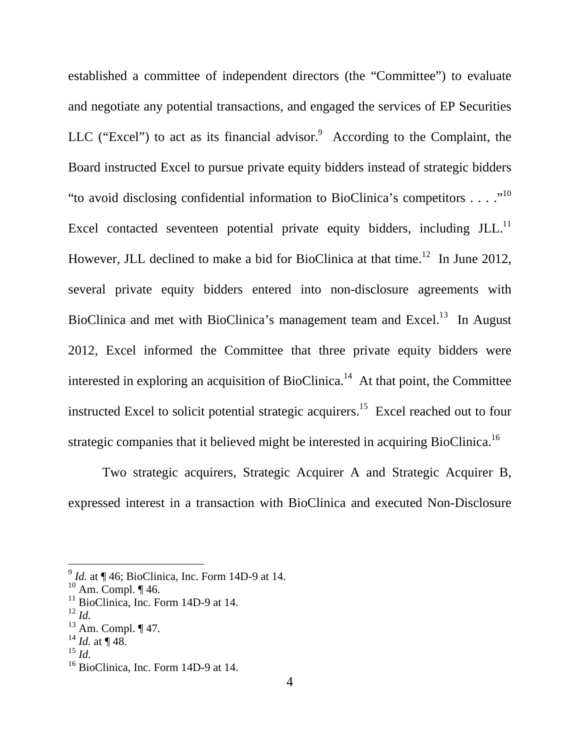established a committee of independent directors (the "Committee") to evaluate and negotiate any potential transactions, and engaged the services of EP Securities LLC ("Excel") to act as its financial advisor.<sup>9</sup> According to the Complaint, the Board instructed Excel to pursue private equity bidders instead of strategic bidders "to avoid disclosing confidential information to BioClinica's competitors  $\dots$ ."<sup>10</sup> Excel contacted seventeen potential private equity bidders, including  $JLL$ .<sup>11</sup> However, JLL declined to make a bid for BioClinica at that time.<sup>12</sup> In June 2012, several private equity bidders entered into non-disclosure agreements with BioClinica and met with BioClinica's management team and Excel.<sup>13</sup> In August 2012, Excel informed the Committee that three private equity bidders were interested in exploring an acquisition of BioClinica.<sup>14</sup> At that point, the Committee instructed Excel to solicit potential strategic acquirers.<sup>15</sup> Excel reached out to four strategic companies that it believed might be interested in acquiring BioClinica.<sup>16</sup>

Two strategic acquirers, Strategic Acquirer A and Strategic Acquirer B, expressed interest in a transaction with BioClinica and executed Non-Disclosure

<sup>&</sup>lt;sup>9</sup> *Id.* at ¶ 46; BioClinica, Inc. Form 14D-9 at 14.

 $10$  Am. Compl.  $\P$  46.

 $11$  BioClinica, Inc. Form 14D-9 at 14.

<sup>12</sup> *Id.*

 $13$  Am. Compl.  $\P$  47.

 $^{14}$  *Id.* at ¶ 48.

<sup>15</sup> *Id.*

 $16$  BioClinica, Inc. Form 14D-9 at 14.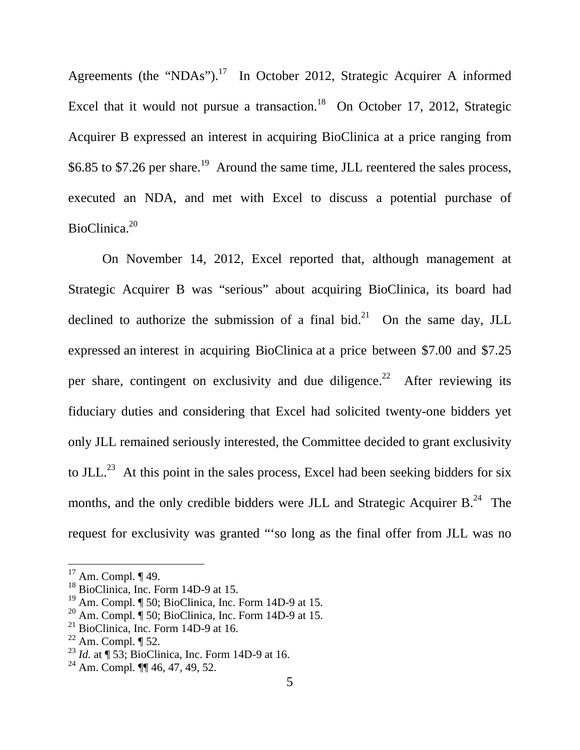Agreements (the "NDAs").<sup>17</sup> In October 2012, Strategic Acquirer A informed Excel that it would not pursue a transaction.<sup>18</sup> On October 17, 2012, Strategic Acquirer B expressed an interest in acquiring BioClinica at a price ranging from \$6.85 to \$7.26 per share.<sup>19</sup> Around the same time, JLL reentered the sales process, executed an NDA, and met with Excel to discuss a potential purchase of BioClinica.<sup>20</sup>

On November 14, 2012, Excel reported that, although management at Strategic Acquirer B was "serious" about acquiring BioClinica, its board had declined to authorize the submission of a final bid.<sup>21</sup> On the same day, JLL expressed an interest in acquiring BioClinica at a price between \$7.00 and \$7.25 per share, contingent on exclusivity and due diligence.<sup>22</sup> After reviewing its fiduciary duties and considering that Excel had solicited twenty-one bidders yet only JLL remained seriously interested, the Committee decided to grant exclusivity to JLL.<sup>23</sup> At this point in the sales process, Excel had been seeking bidders for six months, and the only credible bidders were JLL and Strategic Acquirer B.<sup>24</sup> The request for exclusivity was granted "'so long as the final offer from JLL was no

 $17$  Am. Compl.  $\P$  49.

<sup>&</sup>lt;sup>18</sup> BioClinica, Inc. Form 14D-9 at 15.

<sup>19</sup> Am. Compl. ¶ 50; BioClinica, Inc. Form 14D-9 at 15.

<sup>&</sup>lt;sup>20</sup> Am. Compl.  $\overline{\phantom{a}}$  50; BioClinica, Inc. Form 14D-9 at 15.

 $21$  BioClinica, Inc. Form 14D-9 at 16.

 $22$  Am. Compl.  $\P$  52.

<sup>&</sup>lt;sup>23</sup> *Id.* at  $\P$  53; BioClinica, Inc. Form 14D-9 at 16.

 $^{24}$  Am. Compl.  $\P$  46, 47, 49, 52.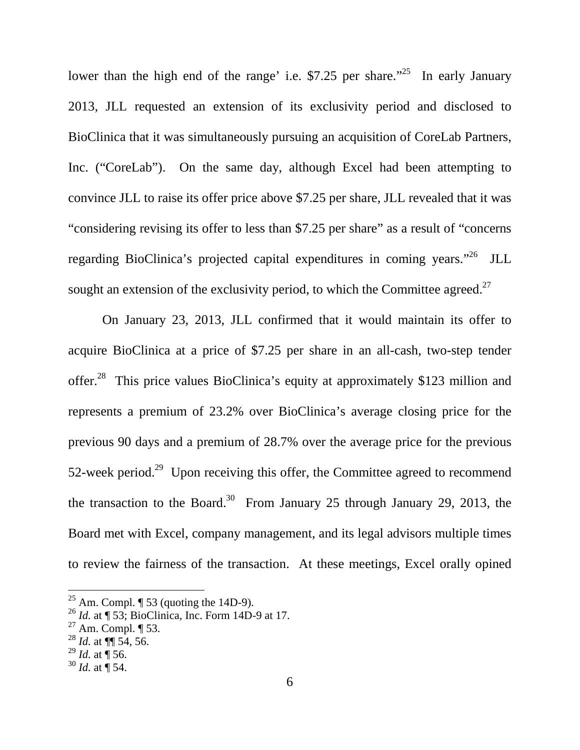lower than the high end of the range' i.e. \$7.25 per share."<sup>25</sup> In early January 2013, JLL requested an extension of its exclusivity period and disclosed to BioClinica that it was simultaneously pursuing an acquisition of CoreLab Partners, Inc. ("CoreLab"). On the same day, although Excel had been attempting to convince JLL to raise its offer price above \$7.25 per share, JLL revealed that it was "considering revising its offer to less than \$7.25 per share" as a result of "concerns regarding BioClinica's projected capital expenditures in coming years."<sup>26</sup> JLL sought an extension of the exclusivity period, to which the Committee agreed.<sup>27</sup>

On January 23, 2013, JLL confirmed that it would maintain its offer to acquire BioClinica at a price of \$7.25 per share in an all-cash, two-step tender offer.<sup>28</sup> This price values BioClinica's equity at approximately \$123 million and represents a premium of 23.2% over BioClinica's average closing price for the previous 90 days and a premium of 28.7% over the average price for the previous 52-week period.<sup>29</sup> Upon receiving this offer, the Committee agreed to recommend the transaction to the Board.<sup>30</sup> From January 25 through January 29, 2013, the Board met with Excel, company management, and its legal advisors multiple times to review the fairness of the transaction. At these meetings, Excel orally opined

<sup>&</sup>lt;sup>25</sup> Am. Compl.  $\P$  53 (quoting the 14D-9).

<sup>26</sup> *Id.* at ¶ 53; BioClinica, Inc. Form 14D-9 at 17.

 $27$  Am. Compl.  $\P$  53.

<sup>28</sup> *Id.* at ¶¶ 54, 56.

 $^{29}$  *Id.* at ¶ 56.

 $30$  *Id.* at  $\P$  54.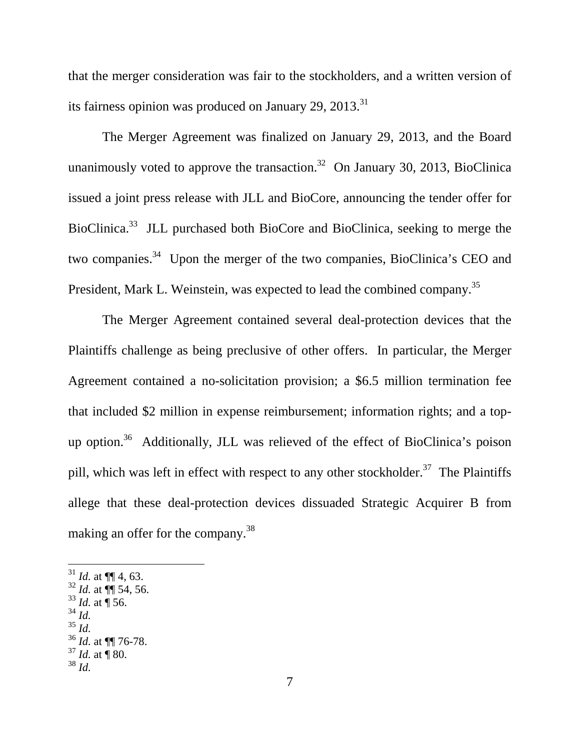that the merger consideration was fair to the stockholders, and a written version of its fairness opinion was produced on January 29,  $2013$ <sup>31</sup>

The Merger Agreement was finalized on January 29, 2013, and the Board unanimously voted to approve the transaction.<sup>32</sup> On January 30, 2013, BioClinica issued a joint press release with JLL and BioCore, announcing the tender offer for BioClinica.<sup>33</sup> JLL purchased both BioCore and BioClinica, seeking to merge the two companies.<sup>34</sup> Upon the merger of the two companies, BioClinica's CEO and President, Mark L. Weinstein, was expected to lead the combined company.<sup>35</sup>

The Merger Agreement contained several deal-protection devices that the Plaintiffs challenge as being preclusive of other offers. In particular, the Merger Agreement contained a no-solicitation provision; a \$6.5 million termination fee that included \$2 million in expense reimbursement; information rights; and a topup option.<sup>36</sup> Additionally, JLL was relieved of the effect of BioClinica's poison pill, which was left in effect with respect to any other stockholder.<sup>37</sup> The Plaintiffs allege that these deal-protection devices dissuaded Strategic Acquirer B from making an offer for the company.<sup>38</sup>

- $31$  *Id.* at  $\P\P$  4, 63.
- $32$  *Id.* at  $\P$  54, 56.
- $33$  *Id.* at  $\P$  56.
- <sup>34</sup> *Id.*
- <sup>35</sup> *Id.*

<u>.</u>

<sup>38</sup> *Id.*

<sup>36</sup> *Id.* at ¶¶ 76-78.

 $37$  *Id.* at **[**80.]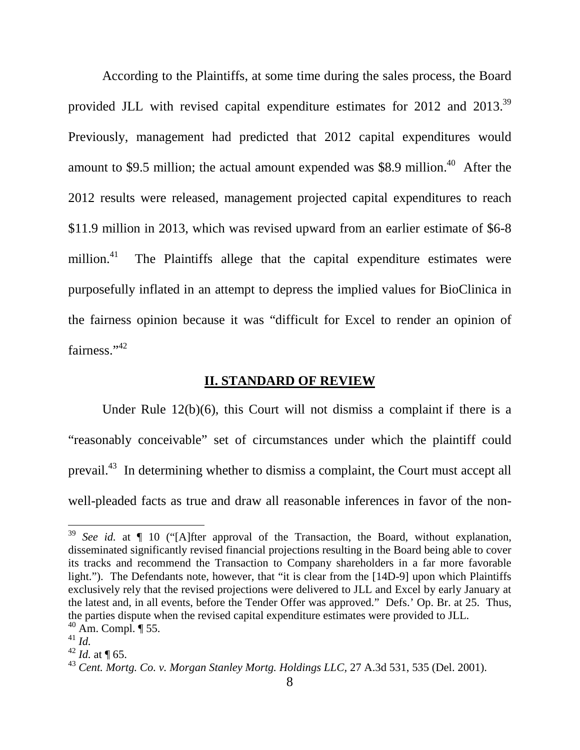According to the Plaintiffs, at some time during the sales process, the Board provided JLL with revised capital expenditure estimates for 2012 and 2013.<sup>39</sup> Previously, management had predicted that 2012 capital expenditures would amount to \$9.5 million; the actual amount expended was \$8.9 million.<sup>40</sup> After the 2012 results were released, management projected capital expenditures to reach \$11.9 million in 2013, which was revised upward from an earlier estimate of \$6-8 million.<sup>41</sup> The Plaintiffs allege that the capital expenditure estimates were purposefully inflated in an attempt to depress the implied values for BioClinica in the fairness opinion because it was "difficult for Excel to render an opinion of fairness."<sup>42</sup>

### **II. STANDARD OF REVIEW**

Under Rule 12(b)(6), this Court will not dismiss a complaint if there is a "reasonably conceivable" set of circumstances under which the plaintiff could prevail.<sup>43</sup> In determining whether to dismiss a complaint, the Court must accept all well-pleaded facts as true and draw all reasonable inferences in favor of the non-

<sup>39</sup> *See id.* at ¶ 10 ("[A]fter approval of the Transaction, the Board, without explanation, disseminated significantly revised financial projections resulting in the Board being able to cover its tracks and recommend the Transaction to Company shareholders in a far more favorable light."). The Defendants note, however, that "it is clear from the [14D-9] upon which Plaintiffs exclusively rely that the revised projections were delivered to JLL and Excel by early January at the latest and, in all events, before the Tender Offer was approved." Defs.' Op. Br. at 25. Thus, the parties dispute when the revised capital expenditure estimates were provided to JLL.

 $40$  Am. Compl.  $\P$  55.

<sup>41</sup> *Id.*

 $42$  *Id.* at **[65.**]

<sup>43</sup> *Cent. Mortg. Co. v. Morgan Stanley Mortg. Holdings LLC,* 27 A.3d 531, 535 (Del. 2001).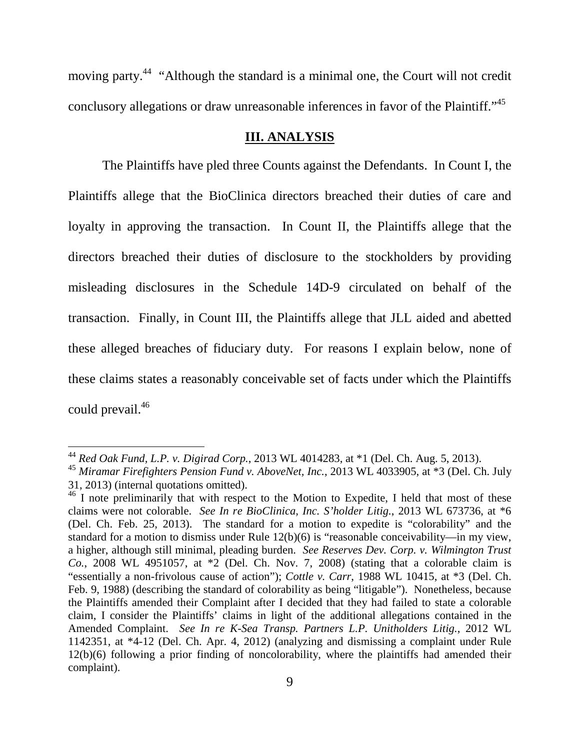moving party.<sup>44</sup> "Although the standard is a minimal one, the Court will not credit conclusory allegations or draw unreasonable inferences in favor of the Plaintiff."<sup>45</sup>

### **III. ANALYSIS**

The Plaintiffs have pled three Counts against the Defendants. In Count I, the Plaintiffs allege that the BioClinica directors breached their duties of care and loyalty in approving the transaction. In Count II, the Plaintiffs allege that the directors breached their duties of disclosure to the stockholders by providing misleading disclosures in the Schedule 14D-9 circulated on behalf of the transaction. Finally, in Count III, the Plaintiffs allege that JLL aided and abetted these alleged breaches of fiduciary duty. For reasons I explain below, none of these claims states a reasonably conceivable set of facts under which the Plaintiffs could prevail.<sup>46</sup>

<sup>44</sup> *Red Oak Fund, L.P. v. Digirad Corp.*, 2013 WL 4014283, at \*1 (Del. Ch. Aug. 5, 2013).

<sup>45</sup> *Miramar Firefighters Pension Fund v. AboveNet, Inc.*, 2013 WL 4033905, at \*3 (Del. Ch. July 31, 2013) (internal quotations omitted).

<sup>&</sup>lt;sup>46</sup> I note preliminarily that with respect to the Motion to Expedite, I held that most of these claims were not colorable. *See In re BioClinica, Inc. S'holder Litig.*, 2013 WL 673736, at \*6 (Del. Ch. Feb. 25, 2013). The standard for a motion to expedite is "colorability" and the standard for a motion to dismiss under Rule 12(b)(6) is "reasonable conceivability—in my view, a higher, although still minimal, pleading burden. *See Reserves Dev. Corp. v. Wilmington Trust Co.*, 2008 WL 4951057, at \*2 (Del. Ch. Nov. 7, 2008) (stating that a colorable claim is "essentially a non-frivolous cause of action"); *Cottle v. Carr*, 1988 WL 10415, at \*3 (Del. Ch. Feb. 9, 1988) (describing the standard of colorability as being "litigable"). Nonetheless, because the Plaintiffs amended their Complaint after I decided that they had failed to state a colorable claim, I consider the Plaintiffs' claims in light of the additional allegations contained in the Amended Complaint. *See In re K-Sea Transp. Partners L.P. Unitholders Litig.*, 2012 WL 1142351, at \*4-12 (Del. Ch. Apr. 4, 2012) (analyzing and dismissing a complaint under Rule 12(b)(6) following a prior finding of noncolorability, where the plaintiffs had amended their complaint).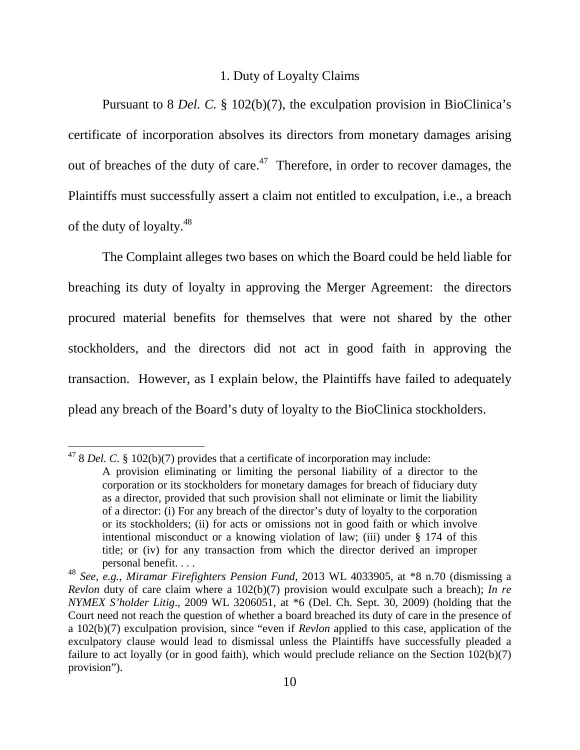## 1. Duty of Loyalty Claims

Pursuant to 8 *Del. C.* § 102(b)(7), the exculpation provision in BioClinica's certificate of incorporation absolves its directors from monetary damages arising out of breaches of the duty of care.<sup>47</sup> Therefore, in order to recover damages, the Plaintiffs must successfully assert a claim not entitled to exculpation, i.e., a breach of the duty of loyalty.<sup>48</sup>

The Complaint alleges two bases on which the Board could be held liable for breaching its duty of loyalty in approving the Merger Agreement: the directors procured material benefits for themselves that were not shared by the other stockholders, and the directors did not act in good faith in approving the transaction. However, as I explain below, the Plaintiffs have failed to adequately plead any breach of the Board's duty of loyalty to the BioClinica stockholders.

<sup>47</sup> 8 *Del. C.* § 102(b)(7) provides that a certificate of incorporation may include: A provision eliminating or limiting the personal liability of a director to the

corporation or its stockholders for monetary damages for breach of fiduciary duty as a director, provided that such provision shall not eliminate or limit the liability of a director: (i) For any breach of the director's duty of loyalty to the corporation or its stockholders; (ii) for acts or omissions not in good faith or which involve intentional misconduct or a knowing violation of law; (iii) under § 174 of this title; or (iv) for any transaction from which the director derived an improper personal benefit. . . .

<sup>48</sup> *See, e.g.*, *Miramar Firefighters Pension Fund*, 2013 WL 4033905, at \*8 n.70 (dismissing a *Revlon* duty of care claim where a 102(b)(7) provision would exculpate such a breach); *In re NYMEX S'holder Litig*., 2009 WL 3206051, at \*6 (Del. Ch. Sept. 30, 2009) (holding that the Court need not reach the question of whether a board breached its duty of care in the presence of a 102(b)(7) exculpation provision, since "even if *Revlon* applied to this case, application of the exculpatory clause would lead to dismissal unless the Plaintiffs have successfully pleaded a failure to act loyally (or in good faith), which would preclude reliance on the Section 102(b)(7) provision").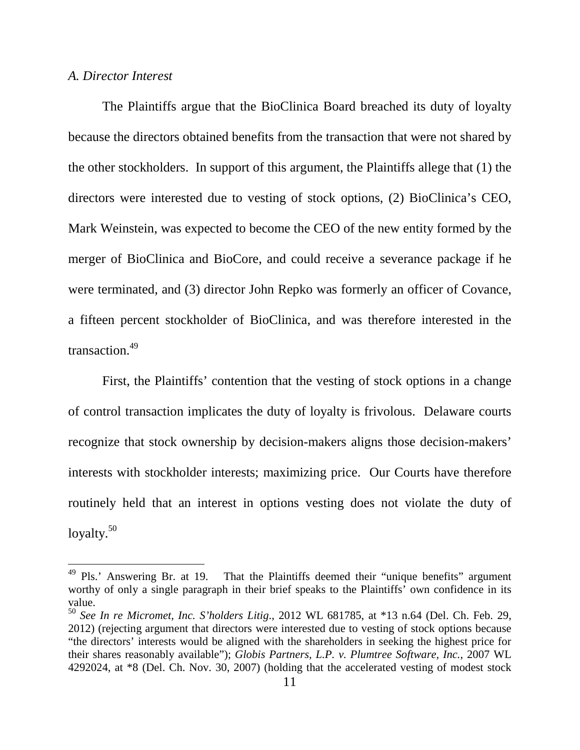#### *A. Director Interest*

The Plaintiffs argue that the BioClinica Board breached its duty of loyalty because the directors obtained benefits from the transaction that were not shared by the other stockholders. In support of this argument, the Plaintiffs allege that (1) the directors were interested due to vesting of stock options, (2) BioClinica's CEO, Mark Weinstein, was expected to become the CEO of the new entity formed by the merger of BioClinica and BioCore, and could receive a severance package if he were terminated, and (3) director John Repko was formerly an officer of Covance, a fifteen percent stockholder of BioClinica, and was therefore interested in the transaction.<sup>49</sup>

First, the Plaintiffs' contention that the vesting of stock options in a change of control transaction implicates the duty of loyalty is frivolous. Delaware courts recognize that stock ownership by decision-makers aligns those decision-makers' interests with stockholder interests; maximizing price. Our Courts have therefore routinely held that an interest in options vesting does not violate the duty of loyalty.<sup>50</sup>

<sup>&</sup>lt;sup>49</sup> Pls.' Answering Br. at 19. That the Plaintiffs deemed their "unique benefits" argument worthy of only a single paragraph in their brief speaks to the Plaintiffs' own confidence in its value.

<sup>50</sup> *See In re Micromet, Inc. S'holders Litig*., 2012 WL 681785, at \*13 n.64 (Del. Ch. Feb. 29, 2012) (rejecting argument that directors were interested due to vesting of stock options because "the directors' interests would be aligned with the shareholders in seeking the highest price for their shares reasonably available"); *Globis Partners, L.P. v. Plumtree Software, Inc.*, 2007 WL 4292024, at \*8 (Del. Ch. Nov. 30, 2007) (holding that the accelerated vesting of modest stock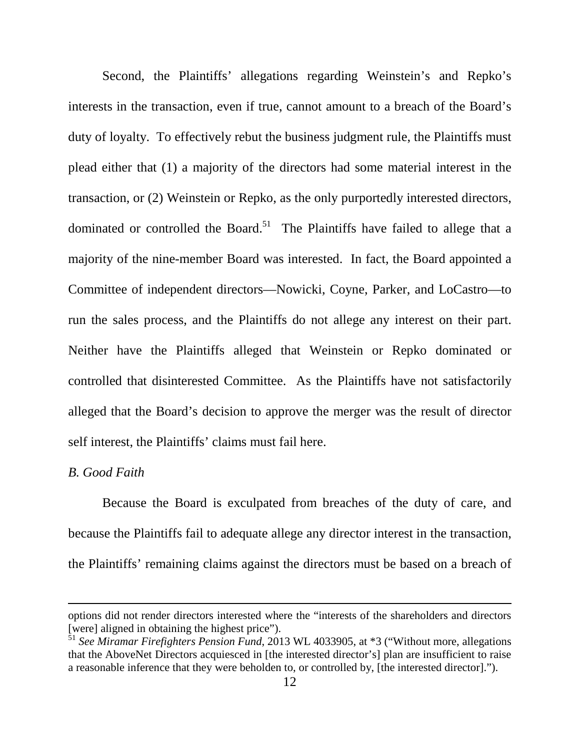Second, the Plaintiffs' allegations regarding Weinstein's and Repko's interests in the transaction, even if true, cannot amount to a breach of the Board's duty of loyalty. To effectively rebut the business judgment rule, the Plaintiffs must plead either that (1) a majority of the directors had some material interest in the transaction, or (2) Weinstein or Repko, as the only purportedly interested directors, dominated or controlled the Board. $51$  The Plaintiffs have failed to allege that a majority of the nine-member Board was interested. In fact, the Board appointed a Committee of independent directors—Nowicki, Coyne, Parker, and LoCastro—to run the sales process, and the Plaintiffs do not allege any interest on their part. Neither have the Plaintiffs alleged that Weinstein or Repko dominated or controlled that disinterested Committee. As the Plaintiffs have not satisfactorily alleged that the Board's decision to approve the merger was the result of director self interest, the Plaintiffs' claims must fail here.

#### *B. Good Faith*

<u>.</u>

Because the Board is exculpated from breaches of the duty of care, and because the Plaintiffs fail to adequate allege any director interest in the transaction, the Plaintiffs' remaining claims against the directors must be based on a breach of

options did not render directors interested where the "interests of the shareholders and directors [were] aligned in obtaining the highest price").

<sup>51</sup> *See Miramar Firefighters Pension Fund*, 2013 WL 4033905, at \*3 ("Without more, allegations that the AboveNet Directors acquiesced in [the interested director's] plan are insufficient to raise a reasonable inference that they were beholden to, or controlled by, [the interested director].").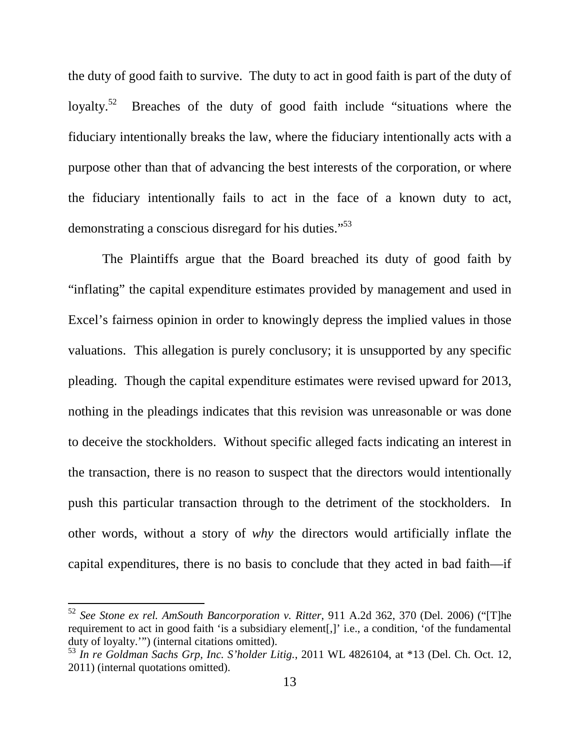the duty of good faith to survive. The duty to act in good faith is part of the duty of loyalty.<sup>52</sup> Breaches of the duty of good faith include "situations where the fiduciary intentionally breaks the law, where the fiduciary intentionally acts with a purpose other than that of advancing the best interests of the corporation, or where the fiduciary intentionally fails to act in the face of a known duty to act, demonstrating a conscious disregard for his duties."<sup>53</sup>

The Plaintiffs argue that the Board breached its duty of good faith by "inflating" the capital expenditure estimates provided by management and used in Excel's fairness opinion in order to knowingly depress the implied values in those valuations. This allegation is purely conclusory; it is unsupported by any specific pleading. Though the capital expenditure estimates were revised upward for 2013, nothing in the pleadings indicates that this revision was unreasonable or was done to deceive the stockholders. Without specific alleged facts indicating an interest in the transaction, there is no reason to suspect that the directors would intentionally push this particular transaction through to the detriment of the stockholders. In other words, without a story of *why* the directors would artificially inflate the capital expenditures, there is no basis to conclude that they acted in bad faith—if

<sup>52</sup> *See Stone ex rel. AmSouth Bancorporation v. Ritter*, 911 A.2d 362, 370 (Del. 2006) ("[T]he requirement to act in good faith 'is a subsidiary element[,]' i.e., a condition, 'of the fundamental duty of loyalty.'") (internal citations omitted).

<sup>53</sup> *In re Goldman Sachs Grp, Inc. S'holder Litig.*, 2011 WL 4826104, at \*13 (Del. Ch. Oct. 12, 2011) (internal quotations omitted).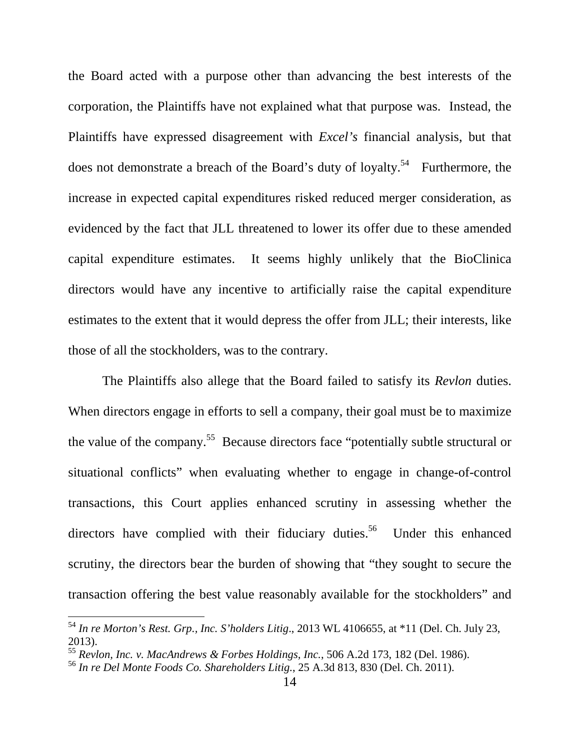the Board acted with a purpose other than advancing the best interests of the corporation, the Plaintiffs have not explained what that purpose was. Instead, the Plaintiffs have expressed disagreement with *Excel's* financial analysis, but that does not demonstrate a breach of the Board's duty of loyalty.<sup>54</sup> Furthermore, the increase in expected capital expenditures risked reduced merger consideration, as evidenced by the fact that JLL threatened to lower its offer due to these amended capital expenditure estimates. It seems highly unlikely that the BioClinica directors would have any incentive to artificially raise the capital expenditure estimates to the extent that it would depress the offer from JLL; their interests, like those of all the stockholders, was to the contrary.

The Plaintiffs also allege that the Board failed to satisfy its *Revlon* duties. When directors engage in efforts to sell a company, their goal must be to maximize the value of the company.<sup>55</sup> Because directors face "potentially subtle structural or situational conflicts" when evaluating whether to engage in change-of-control transactions, this Court applies enhanced scrutiny in assessing whether the directors have complied with their fiduciary duties.<sup>56</sup> Under this enhanced scrutiny, the directors bear the burden of showing that "they sought to secure the transaction offering the best value reasonably available for the stockholders" and

<sup>54</sup> *In re Morton's Rest. Grp., Inc. S'holders Litig*., 2013 WL 4106655, at \*11 (Del. Ch. July 23, 2013).

<sup>55</sup> *Revlon, Inc. v. MacAndrews & Forbes Holdings, Inc.*, 506 A.2d 173, 182 (Del. 1986).

<sup>56</sup> *In re Del Monte Foods Co. Shareholders Litig.*, 25 A.3d 813, 830 (Del. Ch. 2011).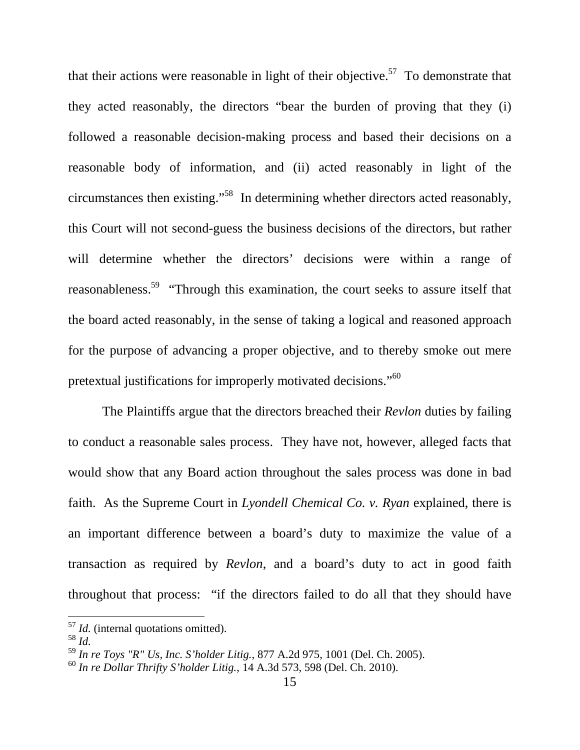that their actions were reasonable in light of their objective.<sup>57</sup> To demonstrate that they acted reasonably, the directors "bear the burden of proving that they (i) followed a reasonable decision-making process and based their decisions on a reasonable body of information, and (ii) acted reasonably in light of the circumstances then existing."<sup>58</sup> In determining whether directors acted reasonably, this Court will not second-guess the business decisions of the directors, but rather will determine whether the directors' decisions were within a range of reasonableness.<sup>59</sup> "Through this examination, the court seeks to assure itself that the board acted reasonably, in the sense of taking a logical and reasoned approach for the purpose of advancing a proper objective, and to thereby smoke out mere pretextual justifications for improperly motivated decisions."<sup>60</sup>

The Plaintiffs argue that the directors breached their *Revlon* duties by failing to conduct a reasonable sales process. They have not, however, alleged facts that would show that any Board action throughout the sales process was done in bad faith. As the Supreme Court in *Lyondell Chemical Co. v. Ryan* explained, there is an important difference between a board's duty to maximize the value of a transaction as required by *Revlon*, and a board's duty to act in good faith throughout that process: "if the directors failed to do all that they should have

<sup>57</sup> *Id.* (internal quotations omitted).

<sup>58</sup> *Id.*

<sup>59</sup> *In re Toys "R" Us, Inc. S'holder Litig.*, 877 A.2d 975, 1001 (Del. Ch. 2005).

<sup>60</sup> *In re Dollar Thrifty S'holder Litig.*, 14 A.3d 573, 598 (Del. Ch. 2010).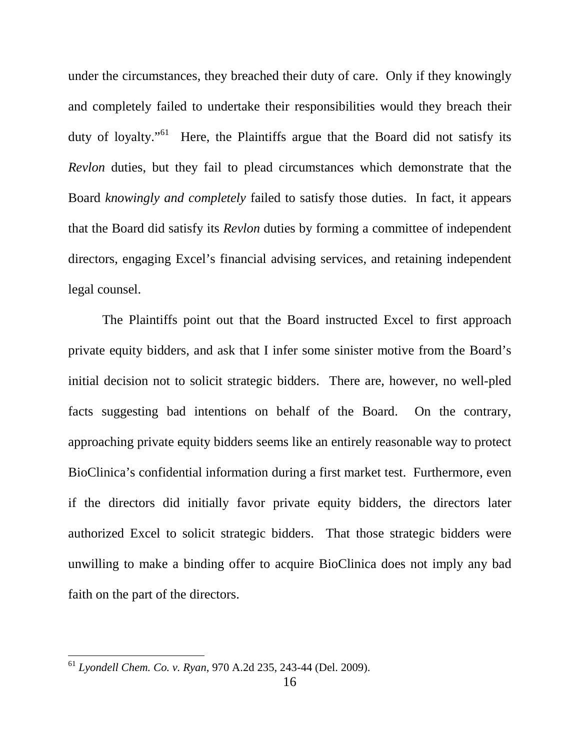under the circumstances, they breached their duty of care. Only if they knowingly and completely failed to undertake their responsibilities would they breach their duty of loyalty."<sup>61</sup> Here, the Plaintiffs argue that the Board did not satisfy its *Revlon* duties, but they fail to plead circumstances which demonstrate that the Board *knowingly and completely* failed to satisfy those duties. In fact, it appears that the Board did satisfy its *Revlon* duties by forming a committee of independent directors, engaging Excel's financial advising services, and retaining independent legal counsel.

The Plaintiffs point out that the Board instructed Excel to first approach private equity bidders, and ask that I infer some sinister motive from the Board's initial decision not to solicit strategic bidders. There are, however, no well-pled facts suggesting bad intentions on behalf of the Board. On the contrary, approaching private equity bidders seems like an entirely reasonable way to protect BioClinica's confidential information during a first market test. Furthermore, even if the directors did initially favor private equity bidders, the directors later authorized Excel to solicit strategic bidders. That those strategic bidders were unwilling to make a binding offer to acquire BioClinica does not imply any bad faith on the part of the directors.

<sup>61</sup> *Lyondell Chem. Co. v. Ryan*, 970 A.2d 235, 243-44 (Del. 2009).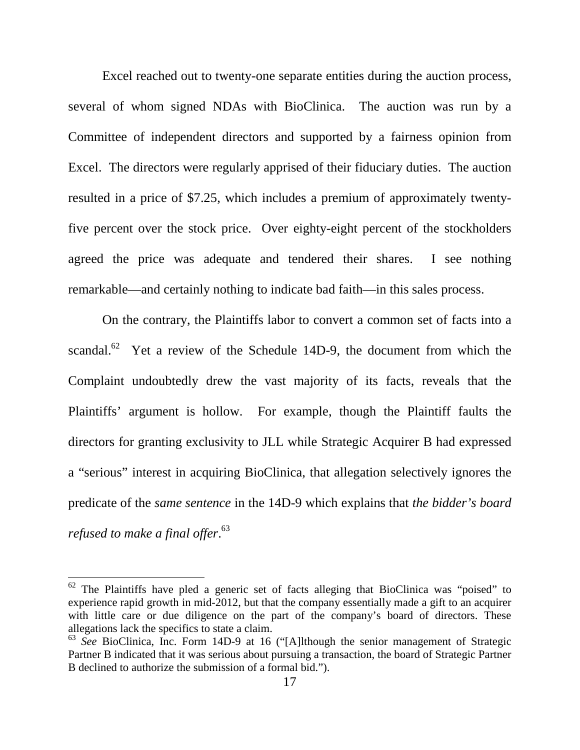Excel reached out to twenty-one separate entities during the auction process, several of whom signed NDAs with BioClinica. The auction was run by a Committee of independent directors and supported by a fairness opinion from Excel. The directors were regularly apprised of their fiduciary duties. The auction resulted in a price of \$7.25, which includes a premium of approximately twentyfive percent over the stock price. Over eighty-eight percent of the stockholders agreed the price was adequate and tendered their shares. I see nothing remarkable—and certainly nothing to indicate bad faith—in this sales process.

On the contrary, the Plaintiffs labor to convert a common set of facts into a scandal.<sup>62</sup> Yet a review of the Schedule 14D-9, the document from which the Complaint undoubtedly drew the vast majority of its facts, reveals that the Plaintiffs' argument is hollow. For example, though the Plaintiff faults the directors for granting exclusivity to JLL while Strategic Acquirer B had expressed a "serious" interest in acquiring BioClinica, that allegation selectively ignores the predicate of the *same sentence* in the 14D-9 which explains that *the bidder's board refused to make a final offer*. 63

 $62$  The Plaintiffs have pled a generic set of facts alleging that BioClinica was "poised" to experience rapid growth in mid-2012, but that the company essentially made a gift to an acquirer with little care or due diligence on the part of the company's board of directors. These allegations lack the specifics to state a claim.

<sup>63</sup> *See* BioClinica, Inc. Form 14D-9 at 16 ("[A]lthough the senior management of Strategic Partner B indicated that it was serious about pursuing a transaction, the board of Strategic Partner B declined to authorize the submission of a formal bid.").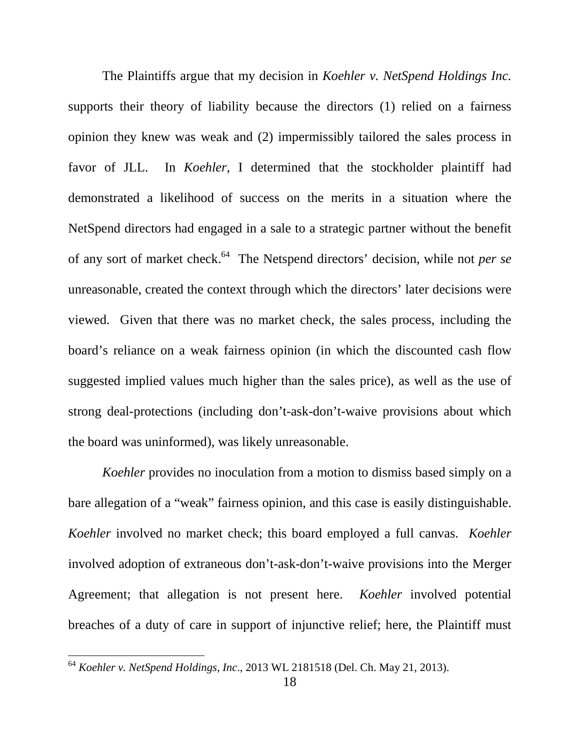The Plaintiffs argue that my decision in *Koehler v. NetSpend Holdings Inc.* supports their theory of liability because the directors (1) relied on a fairness opinion they knew was weak and (2) impermissibly tailored the sales process in favor of JLL. In *Koehler*, I determined that the stockholder plaintiff had demonstrated a likelihood of success on the merits in a situation where the NetSpend directors had engaged in a sale to a strategic partner without the benefit of any sort of market check.<sup>64</sup> The Netspend directors' decision, while not *per se*  unreasonable, created the context through which the directors' later decisions were viewed. Given that there was no market check, the sales process, including the board's reliance on a weak fairness opinion (in which the discounted cash flow suggested implied values much higher than the sales price), as well as the use of strong deal-protections (including don't-ask-don't-waive provisions about which the board was uninformed), was likely unreasonable.

*Koehler* provides no inoculation from a motion to dismiss based simply on a bare allegation of a "weak" fairness opinion, and this case is easily distinguishable. *Koehler* involved no market check; this board employed a full canvas. *Koehler* involved adoption of extraneous don't-ask-don't-waive provisions into the Merger Agreement; that allegation is not present here. *Koehler* involved potential breaches of a duty of care in support of injunctive relief; here, the Plaintiff must

<sup>64</sup> *Koehler v. NetSpend Holdings, Inc*., 2013 WL 2181518 (Del. Ch. May 21, 2013).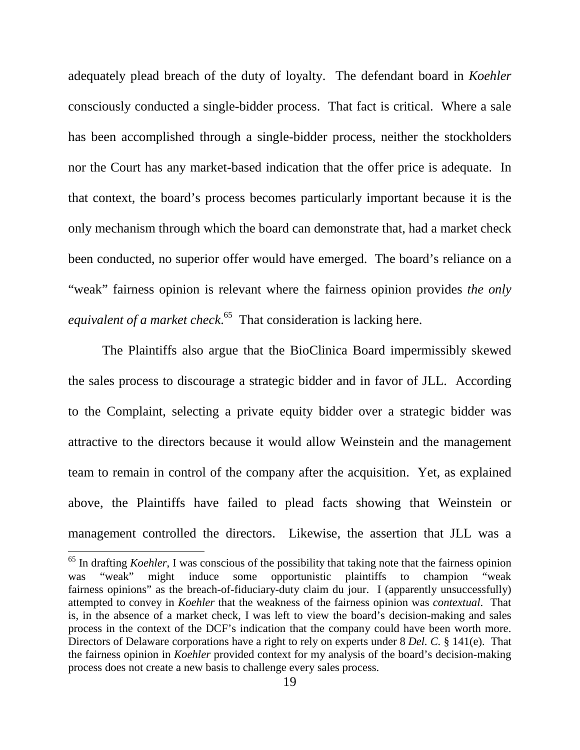adequately plead breach of the duty of loyalty. The defendant board in *Koehler* consciously conducted a single-bidder process. That fact is critical. Where a sale has been accomplished through a single-bidder process, neither the stockholders nor the Court has any market-based indication that the offer price is adequate. In that context, the board's process becomes particularly important because it is the only mechanism through which the board can demonstrate that, had a market check been conducted, no superior offer would have emerged. The board's reliance on a "weak" fairness opinion is relevant where the fairness opinion provides *the only equivalent of a market check*. <sup>65</sup> That consideration is lacking here.

The Plaintiffs also argue that the BioClinica Board impermissibly skewed the sales process to discourage a strategic bidder and in favor of JLL. According to the Complaint, selecting a private equity bidder over a strategic bidder was attractive to the directors because it would allow Weinstein and the management team to remain in control of the company after the acquisition. Yet, as explained above, the Plaintiffs have failed to plead facts showing that Weinstein or management controlled the directors. Likewise, the assertion that JLL was a

<sup>65</sup> In drafting *Koehler*, I was conscious of the possibility that taking note that the fairness opinion was "weak" might induce some opportunistic plaintiffs to champion "weak fairness opinions" as the breach-of-fiduciary-duty claim du jour. I (apparently unsuccessfully) attempted to convey in *Koehler* that the weakness of the fairness opinion was *contextual*. That is, in the absence of a market check, I was left to view the board's decision-making and sales process in the context of the DCF's indication that the company could have been worth more. Directors of Delaware corporations have a right to rely on experts under 8 *Del. C.* § 141(e). That the fairness opinion in *Koehler* provided context for my analysis of the board's decision-making process does not create a new basis to challenge every sales process.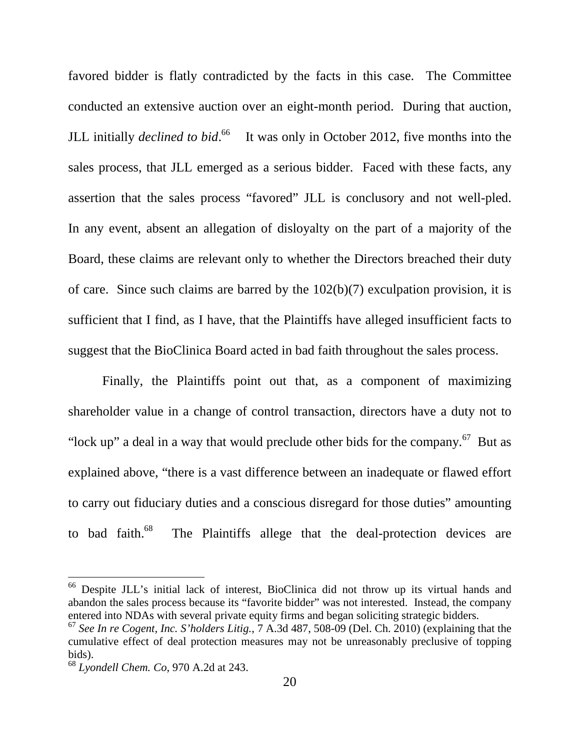favored bidder is flatly contradicted by the facts in this case. The Committee conducted an extensive auction over an eight-month period. During that auction, JLL initially *declined to bid*. <sup>66</sup> It was only in October 2012, five months into the sales process, that JLL emerged as a serious bidder. Faced with these facts, any assertion that the sales process "favored" JLL is conclusory and not well-pled. In any event, absent an allegation of disloyalty on the part of a majority of the Board, these claims are relevant only to whether the Directors breached their duty of care. Since such claims are barred by the 102(b)(7) exculpation provision, it is sufficient that I find, as I have, that the Plaintiffs have alleged insufficient facts to suggest that the BioClinica Board acted in bad faith throughout the sales process.

 Finally, the Plaintiffs point out that, as a component of maximizing shareholder value in a change of control transaction, directors have a duty not to "lock up" a deal in a way that would preclude other bids for the company. $^{67}$  But as explained above, "there is a vast difference between an inadequate or flawed effort to carry out fiduciary duties and a conscious disregard for those duties" amounting to bad faith.<sup>68</sup> The Plaintiffs allege that the deal-protection devices are

<sup>66</sup> Despite JLL's initial lack of interest, BioClinica did not throw up its virtual hands and abandon the sales process because its "favorite bidder" was not interested. Instead, the company entered into NDAs with several private equity firms and began soliciting strategic bidders.

<sup>67</sup> *See In re Cogent, Inc. S'holders Litig.*, 7 A.3d 487, 508-09 (Del. Ch. 2010) (explaining that the cumulative effect of deal protection measures may not be unreasonably preclusive of topping bids).

<sup>68</sup> *Lyondell Chem. Co*, 970 A.2d at 243.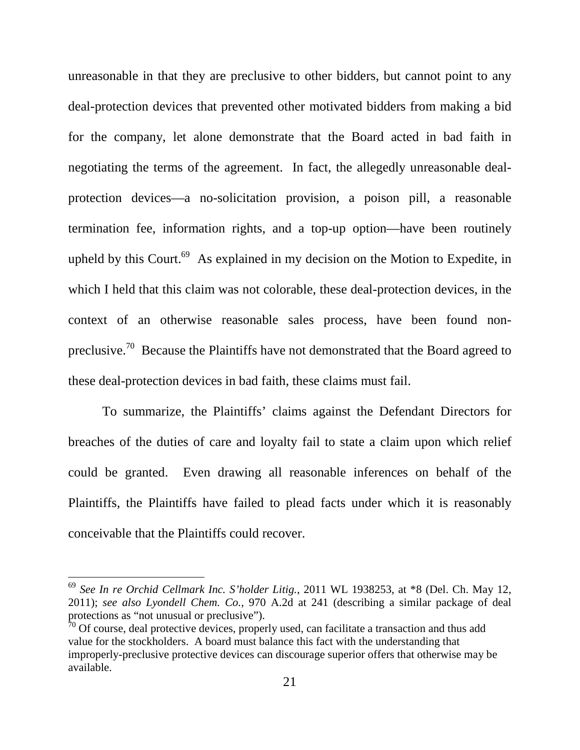unreasonable in that they are preclusive to other bidders, but cannot point to any deal-protection devices that prevented other motivated bidders from making a bid for the company, let alone demonstrate that the Board acted in bad faith in negotiating the terms of the agreement. In fact, the allegedly unreasonable dealprotection devices—a no-solicitation provision, a poison pill, a reasonable termination fee, information rights, and a top-up option—have been routinely upheld by this Court.<sup>69</sup> As explained in my decision on the Motion to Expedite, in which I held that this claim was not colorable, these deal-protection devices, in the context of an otherwise reasonable sales process, have been found nonpreclusive.<sup>70</sup> Because the Plaintiffs have not demonstrated that the Board agreed to these deal-protection devices in bad faith, these claims must fail.

To summarize, the Plaintiffs' claims against the Defendant Directors for breaches of the duties of care and loyalty fail to state a claim upon which relief could be granted. Even drawing all reasonable inferences on behalf of the Plaintiffs, the Plaintiffs have failed to plead facts under which it is reasonably conceivable that the Plaintiffs could recover.

<sup>69</sup> *See In re Orchid Cellmark Inc. S'holder Litig.*, 2011 WL 1938253, at \*8 (Del. Ch. May 12, 2011); *see also Lyondell Chem. Co.*, 970 A.2d at 241 (describing a similar package of deal protections as "not unusual or preclusive").

 $70$  Of course, deal protective devices, properly used, can facilitate a transaction and thus add value for the stockholders. A board must balance this fact with the understanding that improperly-preclusive protective devices can discourage superior offers that otherwise may be available.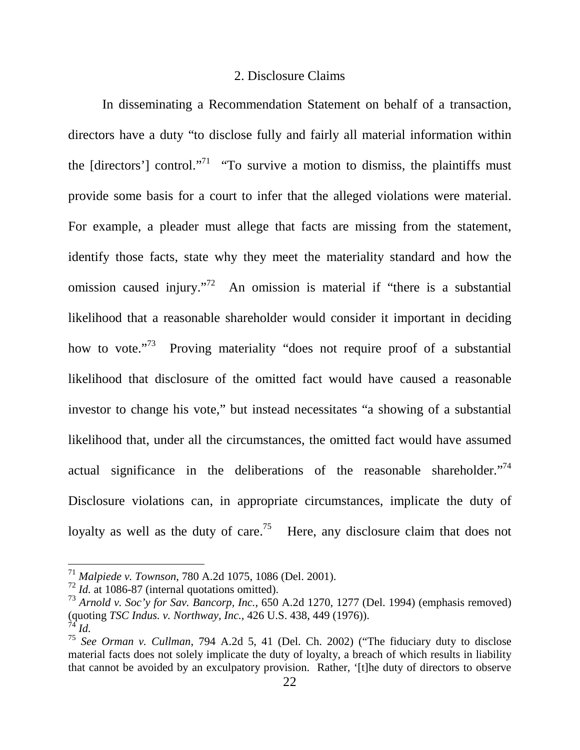### 2. Disclosure Claims

In disseminating a Recommendation Statement on behalf of a transaction, directors have a duty "to disclose fully and fairly all material information within the [directors'] control."<sup>71</sup> "To survive a motion to dismiss, the plaintiffs must provide some basis for a court to infer that the alleged violations were material. For example, a pleader must allege that facts are missing from the statement, identify those facts, state why they meet the materiality standard and how the omission caused injury."<sup>72</sup> An omission is material if "there is a substantial likelihood that a reasonable shareholder would consider it important in deciding how to vote."<sup>73</sup> Proving materiality "does not require proof of a substantial likelihood that disclosure of the omitted fact would have caused a reasonable investor to change his vote," but instead necessitates "a showing of a substantial likelihood that, under all the circumstances, the omitted fact would have assumed actual significance in the deliberations of the reasonable shareholder. $17<sup>74</sup>$ Disclosure violations can, in appropriate circumstances, implicate the duty of loyalty as well as the duty of care.<sup>75</sup> Here, any disclosure claim that does not

<sup>71</sup> *Malpiede v. Townson*, 780 A.2d 1075, 1086 (Del. 2001).

<sup>72</sup> *Id.* at 1086-87 (internal quotations omitted).

<sup>73</sup> *Arnold v. Soc'y for Sav. Bancorp, Inc.*, 650 A.2d 1270, 1277 (Del. 1994) (emphasis removed) (quoting *TSC Indus. v. Northway, Inc.,* 426 U.S. 438, 449 (1976)). <sup>74</sup> *Id.*

<sup>75</sup> *See Orman v. Cullman*, 794 A.2d 5, 41 (Del. Ch. 2002) ("The fiduciary duty to disclose material facts does not solely implicate the duty of loyalty, a breach of which results in liability that cannot be avoided by an exculpatory provision. Rather, '[t]he duty of directors to observe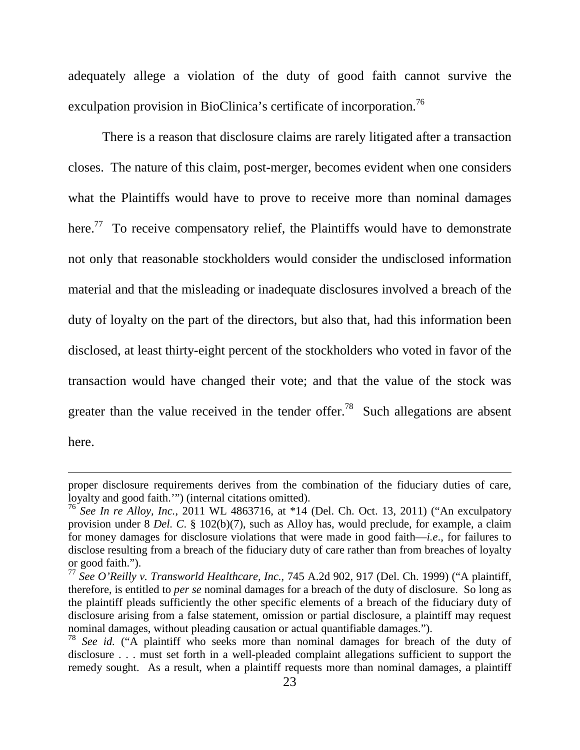adequately allege a violation of the duty of good faith cannot survive the exculpation provision in BioClinica's certificate of incorporation.<sup>76</sup>

There is a reason that disclosure claims are rarely litigated after a transaction closes. The nature of this claim, post-merger, becomes evident when one considers what the Plaintiffs would have to prove to receive more than nominal damages here.<sup>77</sup> To receive compensatory relief, the Plaintiffs would have to demonstrate not only that reasonable stockholders would consider the undisclosed information material and that the misleading or inadequate disclosures involved a breach of the duty of loyalty on the part of the directors, but also that, had this information been disclosed, at least thirty-eight percent of the stockholders who voted in favor of the transaction would have changed their vote; and that the value of the stock was greater than the value received in the tender offer.<sup>78</sup> Such allegations are absent here.

proper disclosure requirements derives from the combination of the fiduciary duties of care, loyalty and good faith.'") (internal citations omitted).

<sup>76</sup> *See In re Alloy, Inc.*, 2011 WL 4863716, at \*14 (Del. Ch. Oct. 13, 2011) ("An exculpatory provision under 8 *Del. C*. § 102(b)(7), such as Alloy has, would preclude, for example, a claim for money damages for disclosure violations that were made in good faith—*i.e*., for failures to disclose resulting from a breach of the fiduciary duty of care rather than from breaches of loyalty or good faith.").

<sup>77</sup> *See O'Reilly v. Transworld Healthcare, Inc.*, 745 A.2d 902, 917 (Del. Ch. 1999) ("A plaintiff, therefore, is entitled to *per se* nominal damages for a breach of the duty of disclosure. So long as the plaintiff pleads sufficiently the other specific elements of a breach of the fiduciary duty of disclosure arising from a false statement, omission or partial disclosure, a plaintiff may request nominal damages, without pleading causation or actual quantifiable damages.").

<sup>78</sup> *See id.* ("A plaintiff who seeks more than nominal damages for breach of the duty of disclosure . . . must set forth in a well-pleaded complaint allegations sufficient to support the remedy sought. As a result, when a plaintiff requests more than nominal damages, a plaintiff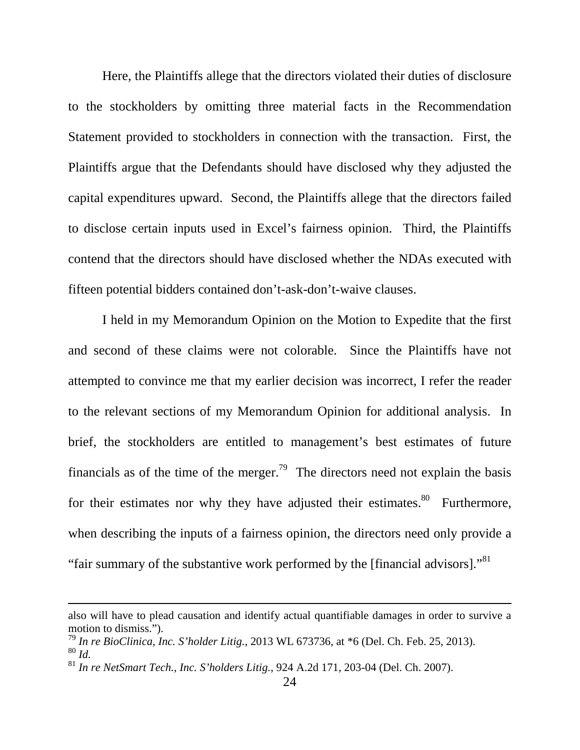Here, the Plaintiffs allege that the directors violated their duties of disclosure to the stockholders by omitting three material facts in the Recommendation Statement provided to stockholders in connection with the transaction. First, the Plaintiffs argue that the Defendants should have disclosed why they adjusted the capital expenditures upward. Second, the Plaintiffs allege that the directors failed to disclose certain inputs used in Excel's fairness opinion. Third, the Plaintiffs contend that the directors should have disclosed whether the NDAs executed with fifteen potential bidders contained don't-ask-don't-waive clauses.

 I held in my Memorandum Opinion on the Motion to Expedite that the first and second of these claims were not colorable. Since the Plaintiffs have not attempted to convince me that my earlier decision was incorrect, I refer the reader to the relevant sections of my Memorandum Opinion for additional analysis. In brief, the stockholders are entitled to management's best estimates of future financials as of the time of the merger.<sup>79</sup> The directors need not explain the basis for their estimates nor why they have adjusted their estimates. $80$  Furthermore, when describing the inputs of a fairness opinion, the directors need only provide a "fair summary of the substantive work performed by the [financial advisors]."<sup>81</sup>

also will have to plead causation and identify actual quantifiable damages in order to survive a motion to dismiss.").

<sup>79</sup> *In re BioClinica, Inc. S'holder Litig.*, 2013 WL 673736, at \*6 (Del. Ch. Feb. 25, 2013). <sup>80</sup> *Id.*

<sup>81</sup> *In re NetSmart Tech., Inc. S'holders Litig.*, 924 A.2d 171, 203-04 (Del. Ch. 2007).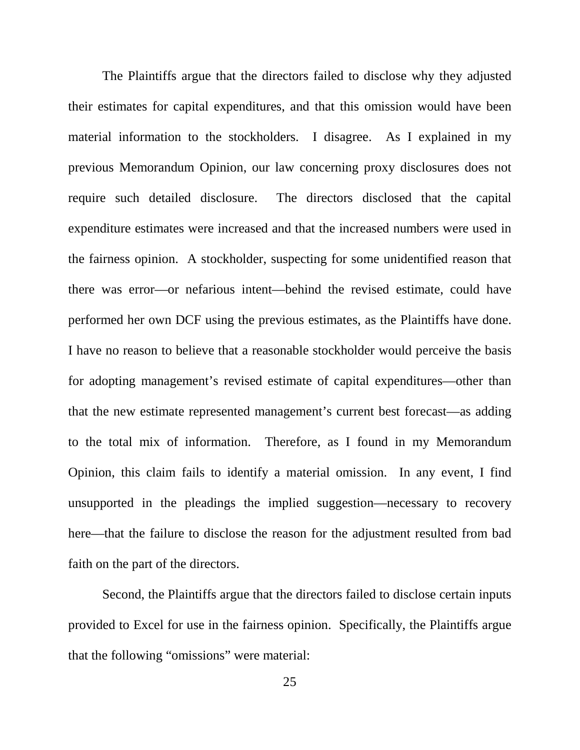The Plaintiffs argue that the directors failed to disclose why they adjusted their estimates for capital expenditures, and that this omission would have been material information to the stockholders. I disagree. As I explained in my previous Memorandum Opinion, our law concerning proxy disclosures does not require such detailed disclosure. The directors disclosed that the capital expenditure estimates were increased and that the increased numbers were used in the fairness opinion. A stockholder, suspecting for some unidentified reason that there was error—or nefarious intent—behind the revised estimate, could have performed her own DCF using the previous estimates, as the Plaintiffs have done. I have no reason to believe that a reasonable stockholder would perceive the basis for adopting management's revised estimate of capital expenditures—other than that the new estimate represented management's current best forecast—as adding to the total mix of information. Therefore, as I found in my Memorandum Opinion, this claim fails to identify a material omission. In any event, I find unsupported in the pleadings the implied suggestion—necessary to recovery here—that the failure to disclose the reason for the adjustment resulted from bad faith on the part of the directors.

 Second, the Plaintiffs argue that the directors failed to disclose certain inputs provided to Excel for use in the fairness opinion. Specifically, the Plaintiffs argue that the following "omissions" were material: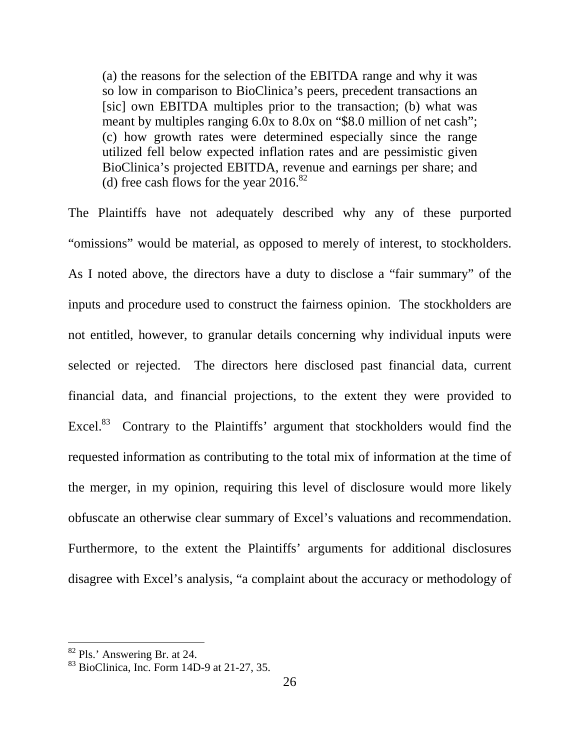(a) the reasons for the selection of the EBITDA range and why it was so low in comparison to BioClinica's peers, precedent transactions an [sic] own EBITDA multiples prior to the transaction; (b) what was meant by multiples ranging 6.0x to 8.0x on "\$8.0 million of net cash"; (c) how growth rates were determined especially since the range utilized fell below expected inflation rates and are pessimistic given BioClinica's projected EBITDA, revenue and earnings per share; and (d) free cash flows for the year  $2016$ .<sup>82</sup>

The Plaintiffs have not adequately described why any of these purported "omissions" would be material, as opposed to merely of interest, to stockholders. As I noted above, the directors have a duty to disclose a "fair summary" of the inputs and procedure used to construct the fairness opinion. The stockholders are not entitled, however, to granular details concerning why individual inputs were selected or rejected. The directors here disclosed past financial data, current financial data, and financial projections, to the extent they were provided to Excel.<sup>83</sup> Contrary to the Plaintiffs' argument that stockholders would find the requested information as contributing to the total mix of information at the time of the merger, in my opinion, requiring this level of disclosure would more likely obfuscate an otherwise clear summary of Excel's valuations and recommendation. Furthermore, to the extent the Plaintiffs' arguments for additional disclosures disagree with Excel's analysis, "a complaint about the accuracy or methodology of

<sup>&</sup>lt;sup>82</sup> Pls.' Answering Br. at 24.

<sup>83</sup> BioClinica, Inc. Form 14D-9 at 21-27, 35.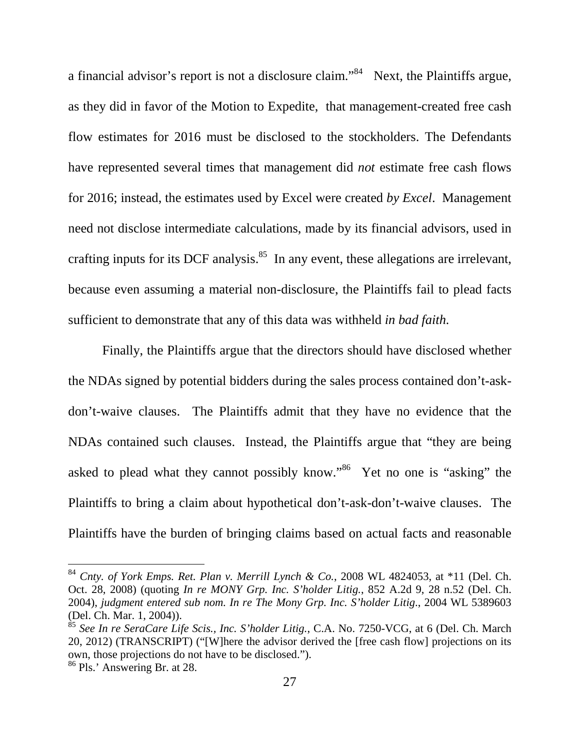a financial advisor's report is not a disclosure claim."<sup>84</sup> Next, the Plaintiffs argue, as they did in favor of the Motion to Expedite, that management-created free cash flow estimates for 2016 must be disclosed to the stockholders. The Defendants have represented several times that management did *not* estimate free cash flows for 2016; instead, the estimates used by Excel were created *by Excel*. Management need not disclose intermediate calculations, made by its financial advisors, used in crafting inputs for its DCF analysis. $85$  In any event, these allegations are irrelevant, because even assuming a material non-disclosure, the Plaintiffs fail to plead facts sufficient to demonstrate that any of this data was withheld *in bad faith.*

 Finally, the Plaintiffs argue that the directors should have disclosed whether the NDAs signed by potential bidders during the sales process contained don't-askdon't-waive clauses. The Plaintiffs admit that they have no evidence that the NDAs contained such clauses. Instead, the Plaintiffs argue that "they are being asked to plead what they cannot possibly know."<sup>86</sup> Yet no one is "asking" the Plaintiffs to bring a claim about hypothetical don't-ask-don't-waive clauses. The Plaintiffs have the burden of bringing claims based on actual facts and reasonable

<sup>84</sup> *Cnty. of York Emps. Ret. Plan v. Merrill Lynch & Co.*, 2008 WL 4824053, at \*11 (Del. Ch. Oct. 28, 2008) (quoting *In re MONY Grp. Inc. S'holder Litig.*, 852 A.2d 9, 28 n.52 (Del. Ch. 2004), *judgment entered sub nom. In re The Mony Grp. Inc. S'holder Litig*., 2004 WL 5389603 (Del. Ch. Mar. 1, 2004)).

<sup>85</sup> *See In re SeraCare Life Scis., Inc. S'holder Litig.*, C.A. No. 7250-VCG, at 6 (Del. Ch. March 20, 2012) (TRANSCRIPT) ("[W]here the advisor derived the [free cash flow] projections on its own, those projections do not have to be disclosed."). <sup>86</sup> Pls.' Answering Br. at 28.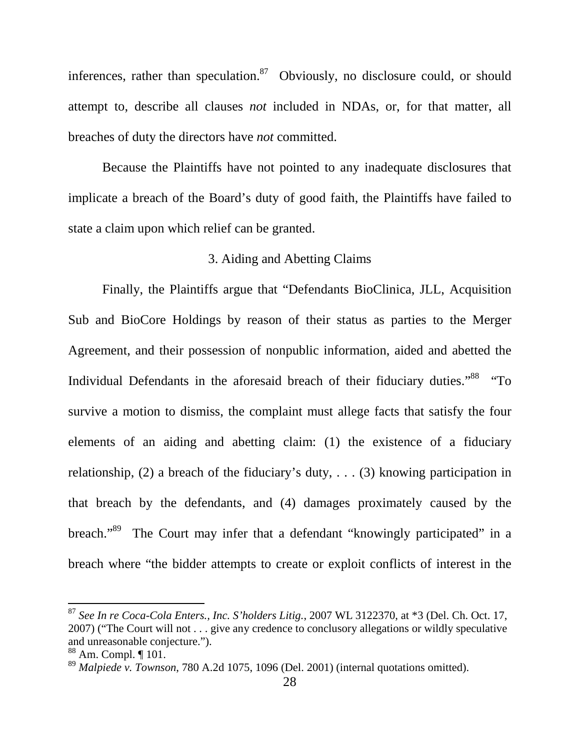inferences, rather than speculation.<sup>87</sup> Obviously, no disclosure could, or should attempt to, describe all clauses *not* included in NDAs, or, for that matter, all breaches of duty the directors have *not* committed.

Because the Plaintiffs have not pointed to any inadequate disclosures that implicate a breach of the Board's duty of good faith, the Plaintiffs have failed to state a claim upon which relief can be granted.

## 3. Aiding and Abetting Claims

Finally, the Plaintiffs argue that "Defendants BioClinica, JLL, Acquisition Sub and BioCore Holdings by reason of their status as parties to the Merger Agreement, and their possession of nonpublic information, aided and abetted the Individual Defendants in the aforesaid breach of their fiduciary duties."<sup>88</sup> "To survive a motion to dismiss, the complaint must allege facts that satisfy the four elements of an aiding and abetting claim: (1) the existence of a fiduciary relationship, (2) a breach of the fiduciary's duty, . . . (3) knowing participation in that breach by the defendants, and (4) damages proximately caused by the breach."<sup>89</sup> The Court may infer that a defendant "knowingly participated" in a breach where "the bidder attempts to create or exploit conflicts of interest in the

<sup>87</sup> *See In re Coca-Cola Enters., Inc. S'holders Litig.*, 2007 WL 3122370, at \*3 (Del. Ch. Oct. 17, 2007) ("The Court will not . . . give any credence to conclusory allegations or wildly speculative and unreasonable conjecture.").

 $88$  Am. Compl.  $\P$  101.

<sup>89</sup> *Malpiede v. Townson*, 780 A.2d 1075, 1096 (Del. 2001) (internal quotations omitted).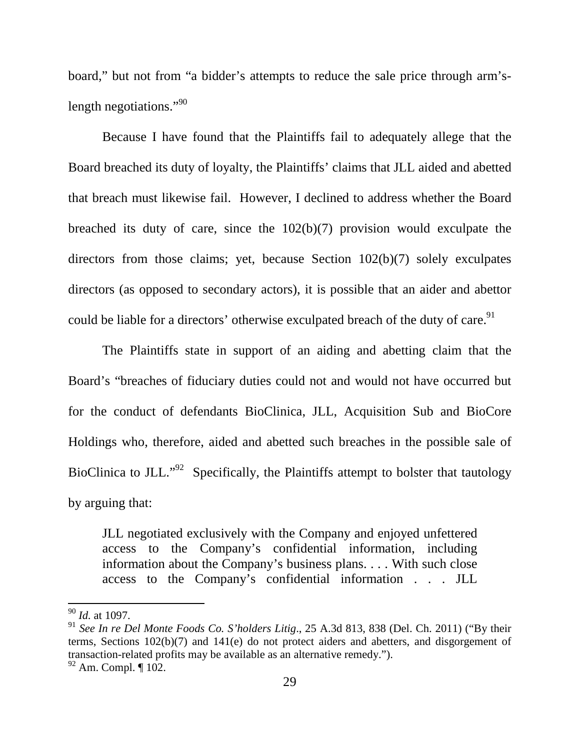board," but not from "a bidder's attempts to reduce the sale price through arm'slength negotiations."<sup>90</sup>

Because I have found that the Plaintiffs fail to adequately allege that the Board breached its duty of loyalty, the Plaintiffs' claims that JLL aided and abetted that breach must likewise fail. However, I declined to address whether the Board breached its duty of care, since the 102(b)(7) provision would exculpate the directors from those claims; yet, because Section 102(b)(7) solely exculpates directors (as opposed to secondary actors), it is possible that an aider and abettor could be liable for a directors' otherwise exculpated breach of the duty of care.<sup>91</sup>

The Plaintiffs state in support of an aiding and abetting claim that the Board's "breaches of fiduciary duties could not and would not have occurred but for the conduct of defendants BioClinica, JLL, Acquisition Sub and BioCore Holdings who, therefore, aided and abetted such breaches in the possible sale of BioClinica to JLL."<sup>92</sup> Specifically, the Plaintiffs attempt to bolster that tautology by arguing that:

JLL negotiated exclusively with the Company and enjoyed unfettered access to the Company's confidential information, including information about the Company's business plans. . . . With such close access to the Company's confidential information . . . JLL

<u>.</u>

 $92$  Am. Compl.  $\P$  102.

<sup>90</sup> *Id.* at 1097.

<sup>91</sup> *See In re Del Monte Foods Co. S'holders Litig*., 25 A.3d 813, 838 (Del. Ch. 2011) ("By their terms, Sections 102(b)(7) and 141(e) do not protect aiders and abetters, and disgorgement of transaction-related profits may be available as an alternative remedy.").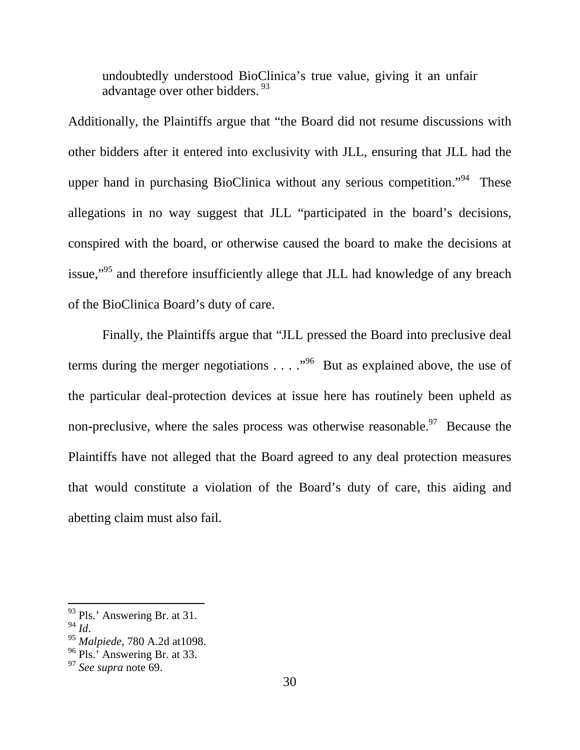undoubtedly understood BioClinica's true value, giving it an unfair advantage over other bidders.  $93$ 

Additionally, the Plaintiffs argue that "the Board did not resume discussions with other bidders after it entered into exclusivity with JLL, ensuring that JLL had the upper hand in purchasing BioClinica without any serious competition."<sup>94</sup> These allegations in no way suggest that JLL "participated in the board's decisions, conspired with the board, or otherwise caused the board to make the decisions at issue,"<sup>95</sup> and therefore insufficiently allege that JLL had knowledge of any breach of the BioClinica Board's duty of care.

Finally, the Plaintiffs argue that "JLL pressed the Board into preclusive deal terms during the merger negotiations  $\ldots$   $\cdot$  <sup>96</sup> But as explained above, the use of the particular deal-protection devices at issue here has routinely been upheld as non-preclusive, where the sales process was otherwise reasonable.<sup>97</sup> Because the Plaintiffs have not alleged that the Board agreed to any deal protection measures that would constitute a violation of the Board's duty of care, this aiding and abetting claim must also fail.

 $93$  Pls.' Answering Br. at 31.

<sup>94</sup> *Id*.

<sup>95</sup> *Malpiede*, 780 A.2d at1098.

 $96$  Pls.' Answering Br. at 33.

<sup>97</sup> *See supra* note 69.